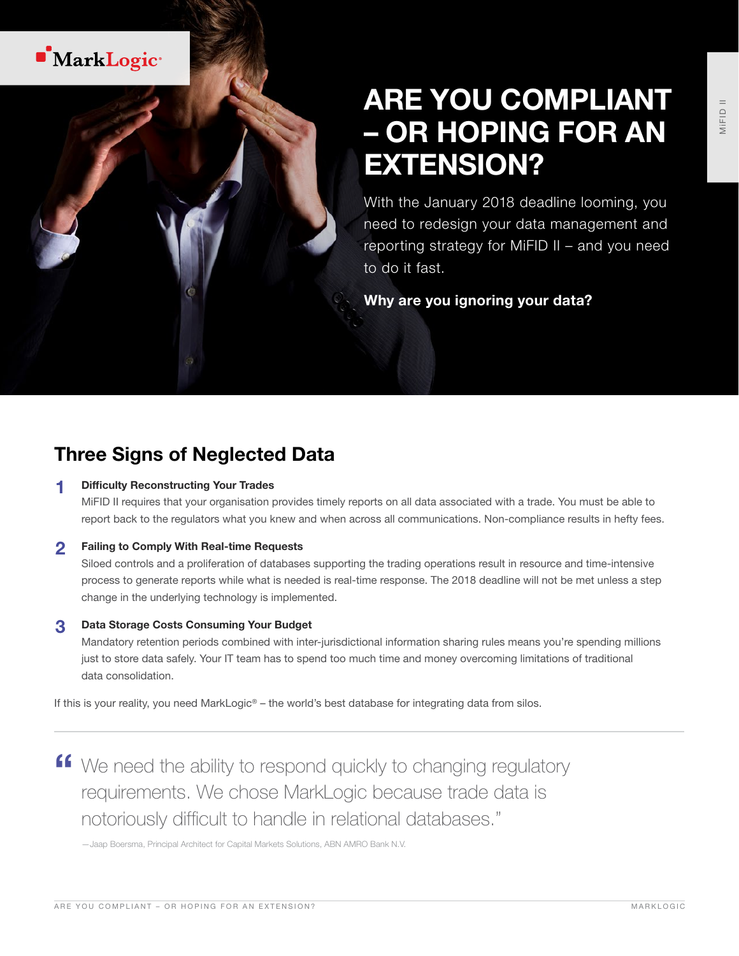

# ARE YOU COMPLIANT – OR HOPING FOR AN EXTENSION?

With the January 2018 deadline looming, you need to redesign your data management and reporting strategy for MiFID II – and you need to do it fast.

Why are you ignoring your data?

# Three Signs of Neglected Data

#### **Difficulty Reconstructing Your Trades**

MiFID II requires that your organisation provides timely reports on all data associated with a trade. You must be able to report back to the regulators what you knew and when across all communications. Non-compliance results in hefty fees.

#### **2** Failing to Comply With Real-time Requests

Siloed controls and a proliferation of databases supporting the trading operations result in resource and time-intensive process to generate reports while what is needed is real-time response. The 2018 deadline will not be met unless a step change in the underlying technology is implemented.

#### 3 Data Storage Costs Consuming Your Budget

Mandatory retention periods combined with inter-jurisdictional information sharing rules means you're spending millions just to store data safely. Your IT team has to spend too much time and money overcoming limitations of traditional data consolidation.

If this is your reality, you need MarkLogic® – the world's best database for integrating data from silos.

**"** We need the ability to respond quickly to changing regulatory requirements. We chose MarkLogic because trade data is notoriously difficult to handle in relational databases."

—Jaap Boersma, Principal Architect for Capital Markets Solutions, ABN AMRO Bank N.V.